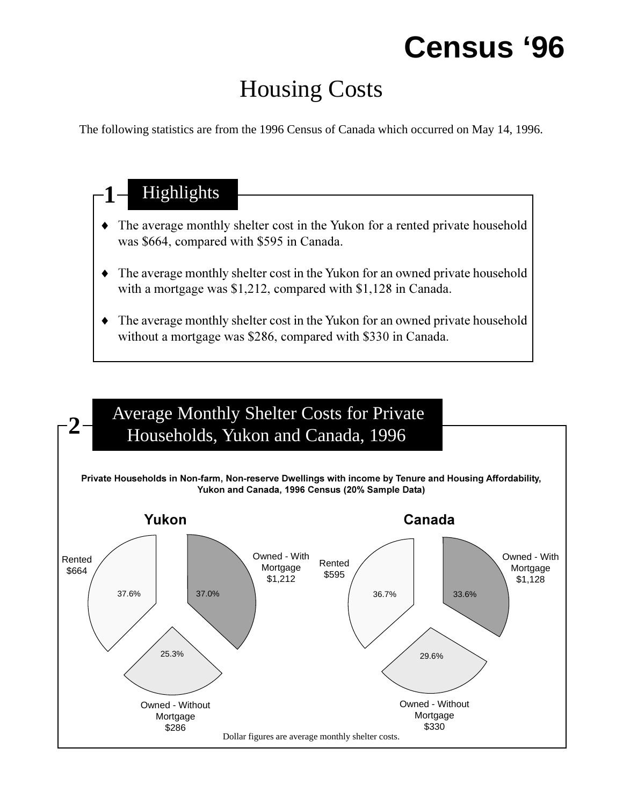# **Census '96**

## Housing Costs

The following statistics are from the 1996 Census of Canada which occurred on May 14, 1996.

## 1<sup>-</sup> Highlights • The average monthly shelter cost in the Yukon for a rented private household was \$664, compared with \$595 in Canada.  $\bullet$  The average monthly shelter cost in the Yukon for an owned private household with a mortgage was \$1,212, compared with \$1,128 in Canada. • The average monthly shelter cost in the Yukon for an owned private household without a mortgage was \$286, compared with \$330 in Canada.

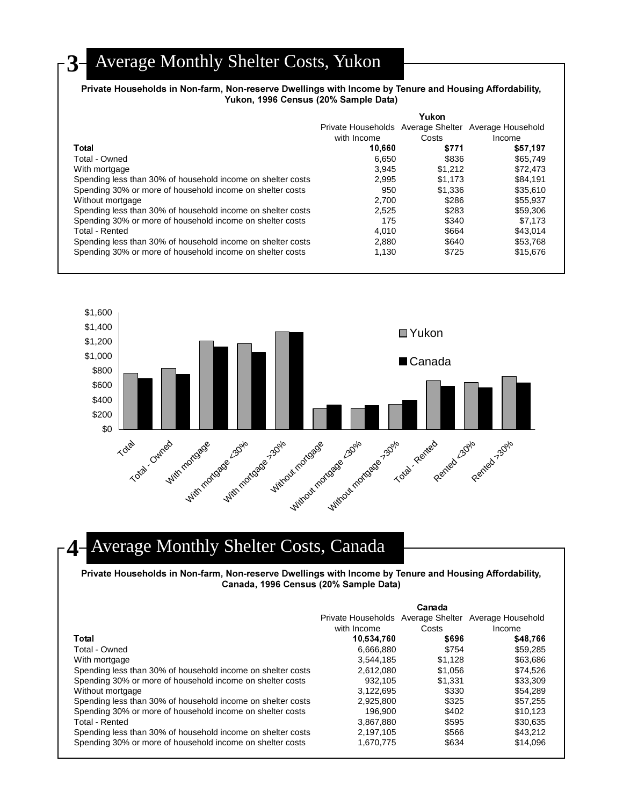### **3** Average Monthly Shelter Costs, Yukon

#### **Private Households in Non-farm, Non-reserve Dwellings with Income by Tenure and Housing Affordability, Yukon, 1996 Census (20% Sample Data)**

|                                                             | Yukon       |         |                                                      |  |
|-------------------------------------------------------------|-------------|---------|------------------------------------------------------|--|
|                                                             |             |         | Private Households Average Shelter Average Household |  |
|                                                             | with Income | Costs   | Income                                               |  |
| Total                                                       | 10.660      | \$771   | \$57,197                                             |  |
| Total - Owned                                               | 6.650       | \$836   | \$65,749                                             |  |
| With mortgage                                               | 3.945       | \$1.212 | \$72.473                                             |  |
| Spending less than 30% of household income on shelter costs | 2.995       | \$1.173 | \$84.191                                             |  |
| Spending 30% or more of household income on shelter costs   | 950         | \$1,336 | \$35,610                                             |  |
| Without mortgage                                            | 2.700       | \$286   | \$55.937                                             |  |
| Spending less than 30% of household income on shelter costs | 2.525       | \$283   | \$59,306                                             |  |
| Spending 30% or more of household income on shelter costs   | 175         | \$340   | \$7.173                                              |  |
| Total - Rented                                              | 4.010       | \$664   | \$43.014                                             |  |
| Spending less than 30% of household income on shelter costs | 2.880       | \$640   | \$53.768                                             |  |
| Spending 30% or more of household income on shelter costs   | 1.130       | \$725   | \$15,676                                             |  |



### **4** Average Monthly Shelter Costs, Canada

**Private Households in Non-farm, Non-reserve Dwellings with Income by Tenure and Housing Affordability, Canada, 1996 Census (20% Sample Data)**

|                                                             | Canada      |         |                                                      |  |
|-------------------------------------------------------------|-------------|---------|------------------------------------------------------|--|
|                                                             |             |         | Private Households Average Shelter Average Household |  |
|                                                             | with Income | Costs   | Income                                               |  |
| Total                                                       | 10,534,760  | \$696   | \$48.766                                             |  |
| Total - Owned                                               | 6,666,880   | \$754   | \$59,285                                             |  |
| With mortgage                                               | 3.544.185   | \$1.128 | \$63,686                                             |  |
| Spending less than 30% of household income on shelter costs | 2.612.080   | \$1.056 | \$74.526                                             |  |
| Spending 30% or more of household income on shelter costs   | 932.105     | \$1.331 | \$33,309                                             |  |
| Without mortgage                                            | 3.122.695   | \$330   | \$54.289                                             |  |
| Spending less than 30% of household income on shelter costs | 2,925,800   | \$325   | \$57,255                                             |  |
| Spending 30% or more of household income on shelter costs   | 196.900     | \$402   | \$10.123                                             |  |
| Total - Rented                                              | 3.867.880   | \$595   | \$30.635                                             |  |
| Spending less than 30% of household income on shelter costs | 2,197,105   | \$566   | \$43,212                                             |  |
| Spending 30% or more of household income on shelter costs   | 1,670,775   | \$634   | \$14.096                                             |  |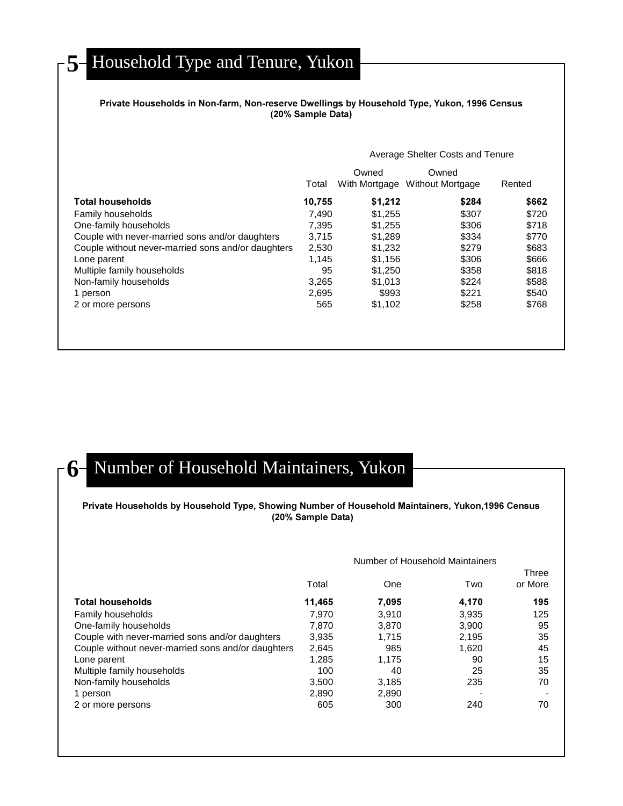## 5<sup>-</sup> Household Type and Tenure, Yukon

### **Private Households in Non-farm, Non-reserve Dwellings by Household Type, Yukon, 1996 Census (20% Sample Data)**

|                                                    |        | Average Shelter Costs and Tenure |                                  |        |  |
|----------------------------------------------------|--------|----------------------------------|----------------------------------|--------|--|
|                                                    | Total  | Owned<br>With Mortgage           | Owned<br><b>Without Mortgage</b> | Rented |  |
| <b>Total households</b>                            | 10,755 | \$1,212                          | \$284                            | \$662  |  |
| Family households                                  | 7.490  | \$1.255                          | \$307                            | \$720  |  |
| One-family households                              | 7.395  | \$1.255                          | \$306                            | \$718  |  |
| Couple with never-married sons and/or daughters    | 3.715  | \$1,289                          | \$334                            | \$770  |  |
| Couple without never-married sons and/or daughters | 2,530  | \$1,232                          | \$279                            | \$683  |  |
| Lone parent                                        | 1.145  | \$1.156                          | \$306                            | \$666  |  |
| Multiple family households                         | 95     | \$1,250                          | \$358                            | \$818  |  |
| Non-family households                              | 3,265  | \$1,013                          | \$224                            | \$588  |  |
| 1 person                                           | 2,695  | \$993                            | \$221                            | \$540  |  |
| 2 or more persons                                  | 565    | \$1,102                          | \$258                            | \$768  |  |
|                                                    |        |                                  |                                  |        |  |

## **6** Number of Household Maintainers, Yukon

### **Private Households by Household Type, Showing Number of Household Maintainers, Yukon,1996 Census (20% Sample Data)**

#### Number of Household Maintainers

Three

|                                                    | Total  | One   | Two                      | mee<br>or More |
|----------------------------------------------------|--------|-------|--------------------------|----------------|
| <b>Total households</b>                            | 11.465 | 7,095 | 4,170                    | 195            |
| Family households                                  | 7.970  | 3,910 | 3,935                    | 125            |
| One-family households                              | 7.870  | 3.870 | 3.900                    | 95             |
| Couple with never-married sons and/or daughters    | 3,935  | 1.715 | 2.195                    | 35             |
| Couple without never-married sons and/or daughters | 2,645  | 985   | 1,620                    | 45             |
| Lone parent                                        | 1,285  | 1.175 | 90                       | 15             |
| Multiple family households                         | 100    | 40    | 25                       | 35             |
| Non-family households                              | 3,500  | 3,185 | 235                      | 70             |
| 1 person                                           | 2,890  | 2,890 | $\overline{\phantom{0}}$ |                |
| 2 or more persons                                  | 605    | 300   | 240                      | 70             |